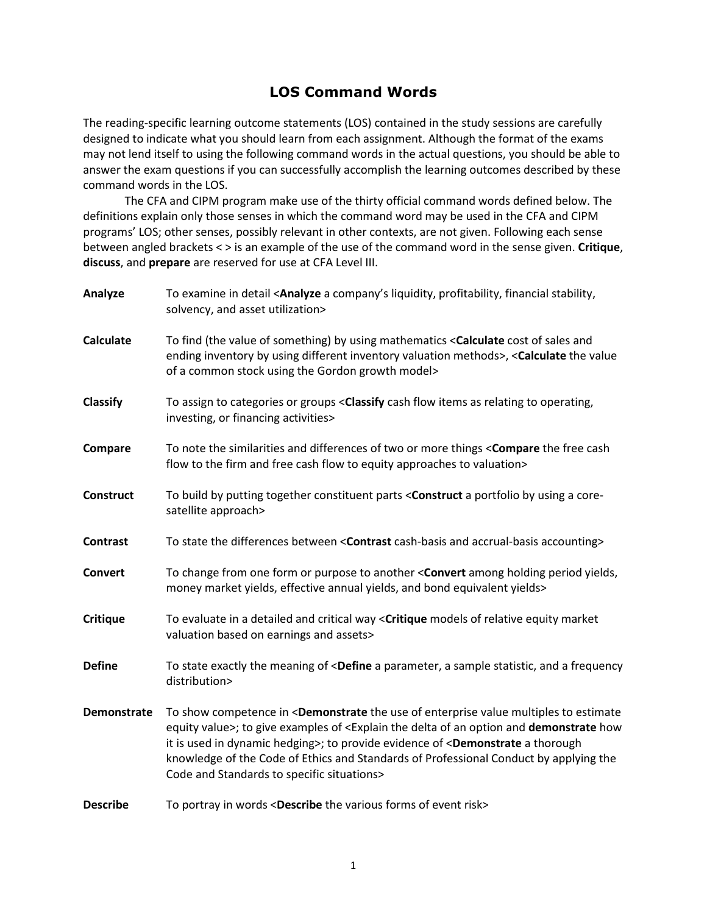## LOS Command Words

The reading-specific learning outcome statements (LOS) contained in the study sessions are carefully designed to indicate what you should learn from each assignment. Although the format of the exams may not lend itself to using the following command words in the actual questions, you should be able to answer the exam questions if you can successfully accomplish the learning outcomes described by these command words in the LOS.

The CFA and CIPM program make use of the thirty official command words defined below. The definitions explain only those senses in which the command word may be used in the CFA and CIPM programs' LOS; other senses, possibly relevant in other contexts, are not given. Following each sense between angled brackets < > is an example of the use of the command word in the sense given. Critique, discuss, and prepare are reserved for use at CFA Level III.

| Analyze          | To examine in detail <analyze a="" company's="" financial="" liquidity,="" profitability,="" stability,<br="">solvency, and asset utilization&gt;</analyze>                                                                                                                                                                                                                                                                                                                                                   |
|------------------|---------------------------------------------------------------------------------------------------------------------------------------------------------------------------------------------------------------------------------------------------------------------------------------------------------------------------------------------------------------------------------------------------------------------------------------------------------------------------------------------------------------|
| <b>Calculate</b> | To find (the value of something) by using mathematics <calculate and<br="" cost="" of="" sales="">ending inventory by using different inventory valuation methods&gt;, <calculate the="" value<br="">of a common stock using the Gordon growth model&gt;</calculate></calculate>                                                                                                                                                                                                                              |
| <b>Classify</b>  | To assign to categories or groups <classify as="" cash="" flow="" items="" operating,<br="" relating="" to="">investing, or financing activities&gt;</classify>                                                                                                                                                                                                                                                                                                                                               |
| Compare          | To note the similarities and differences of two or more things < Compare the free cash<br>flow to the firm and free cash flow to equity approaches to valuation>                                                                                                                                                                                                                                                                                                                                              |
| <b>Construct</b> | To build by putting together constituent parts < Construct a portfolio by using a core-<br>satellite approach>                                                                                                                                                                                                                                                                                                                                                                                                |
| <b>Contrast</b>  | To state the differences between <contrast accounting="" accrual-basis="" and="" cash-basis=""></contrast>                                                                                                                                                                                                                                                                                                                                                                                                    |
| Convert          | To change from one form or purpose to another <convert among="" holding="" period="" yields,<br="">money market yields, effective annual yields, and bond equivalent yields&gt;</convert>                                                                                                                                                                                                                                                                                                                     |
| <b>Critique</b>  | To evaluate in a detailed and critical way < Critique models of relative equity market<br>valuation based on earnings and assets>                                                                                                                                                                                                                                                                                                                                                                             |
| <b>Define</b>    | To state exactly the meaning of <define a="" and="" frequency<br="" parameter,="" sample="" statistic,="">distribution&gt;</define>                                                                                                                                                                                                                                                                                                                                                                           |
| Demonstrate      | To show competence in <demonstrate enterprise="" estimate<br="" multiples="" of="" the="" to="" use="" value="">equity value&gt;; to give examples of <explain an="" and="" delta="" demonstrate="" how<br="" of="" option="" the="">it is used in dynamic hedging&gt;; to provide evidence of <demonstrate a="" thorough<br="">knowledge of the Code of Ethics and Standards of Professional Conduct by applying the<br/>Code and Standards to specific situations&gt;</demonstrate></explain></demonstrate> |
| <b>Describe</b>  | To portray in words <describe event="" forms="" of="" risk="" the="" various=""></describe>                                                                                                                                                                                                                                                                                                                                                                                                                   |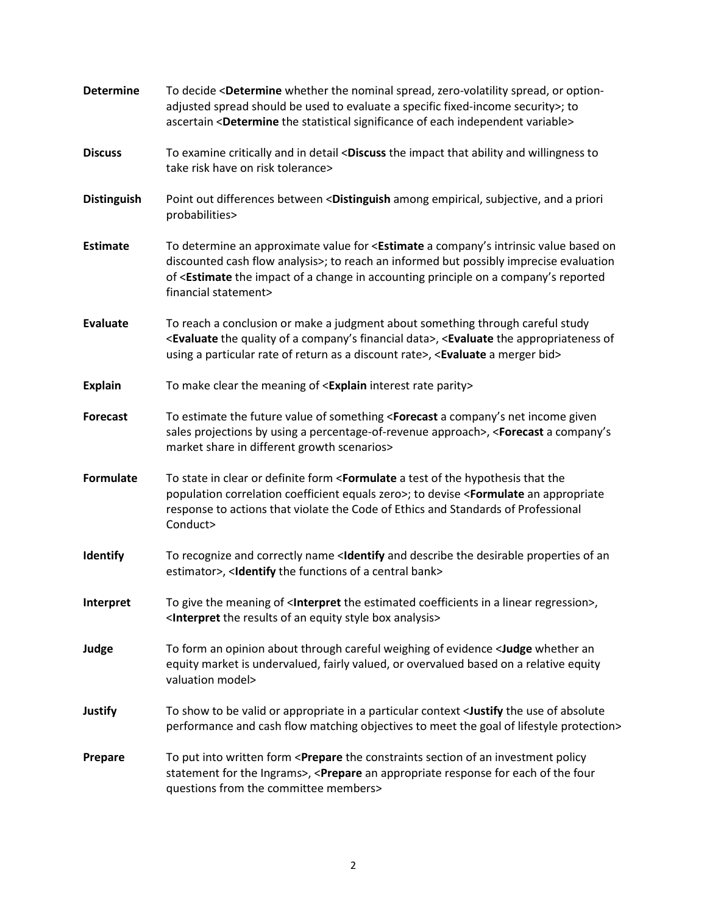| <b>Determine</b>   | To decide <determine nominal="" option-<br="" or="" spread,="" the="" whether="" zero-volatility="">adjusted spread should be used to evaluate a specific fixed-income security&gt;; to<br/>ascertain <determine each="" independent="" of="" significance="" statistical="" the="" variable=""></determine></determine>                           |
|--------------------|----------------------------------------------------------------------------------------------------------------------------------------------------------------------------------------------------------------------------------------------------------------------------------------------------------------------------------------------------|
| <b>Discuss</b>     | To examine critically and in detail <discuss ability="" and="" impact="" that="" the="" to<br="" willingness="">take risk have on risk tolerance&gt;</discuss>                                                                                                                                                                                     |
| <b>Distinguish</b> | Point out differences between <distinguish a="" among="" and="" empirical,="" priori<br="" subjective,="">probabilities&gt;</distinguish>                                                                                                                                                                                                          |
| <b>Estimate</b>    | To determine an approximate value for < <b>Estimate</b> a company's intrinsic value based on<br>discounted cash flow analysis>; to reach an informed but possibly imprecise evaluation<br>of <estimate a="" accounting="" change="" company's="" impact="" in="" of="" on="" principle="" reported<br="" the="">financial statement&gt;</estimate> |
| <b>Evaluate</b>    | To reach a conclusion or make a judgment about something through careful study<br><evaluate a="" company's="" data="" financial="" of="" quality="" the="">, <evaluate appropriateness="" of<br="" the="">using a particular rate of return as a discount rate&gt;, <evaluate a="" bid="" merger=""></evaluate></evaluate></evaluate>              |
| <b>Explain</b>     | To make clear the meaning of <explain interest="" parity="" rate=""></explain>                                                                                                                                                                                                                                                                     |
| <b>Forecast</b>    | To estimate the future value of something <forecast a="" company's="" given<br="" income="" net="">sales projections by using a percentage-of-revenue approach&gt;, <forecast a="" company's<br="">market share in different growth scenarios&gt;</forecast></forecast>                                                                            |
| <b>Formulate</b>   | To state in clear or definite form <formulate a="" hypothesis="" of="" test="" that="" the="" the<br="">population correlation coefficient equals zero&gt;; to devise <formulate an="" appropriate<br="">response to actions that violate the Code of Ethics and Standards of Professional<br/>Conduct&gt;</formulate></formulate>                 |
| Identify           | To recognize and correctly name <ldentify an<br="" and="" describe="" desirable="" of="" properties="" the="">estimator&gt;, <ldentify a="" bank="" central="" functions="" of="" the=""></ldentify></ldentify>                                                                                                                                    |
| <b>Interpret</b>   | To give the meaning of <interpret a="" coefficients="" estimated="" in="" linear="" regression="" the="">,<br/><interpret an="" analysis="" box="" equity="" of="" results="" style="" the=""></interpret></interpret>                                                                                                                             |
| Judge              | To form an opinion about through careful weighing of evidence <judge an<br="" whether="">equity market is undervalued, fairly valued, or overvalued based on a relative equity<br/>valuation model&gt;</judge>                                                                                                                                     |
| <b>Justify</b>     | To show to be valid or appropriate in a particular context <justify absolute<br="" of="" the="" use="">performance and cash flow matching objectives to meet the goal of lifestyle protection&gt;</justify>                                                                                                                                        |
| Prepare            | To put into written form <prepare an="" constraints="" investment="" of="" policy<br="" section="" the="">statement for the Ingrams&gt;, <prepare an="" appropriate="" each="" for="" four<br="" of="" response="" the="">questions from the committee members&gt;</prepare></prepare>                                                             |